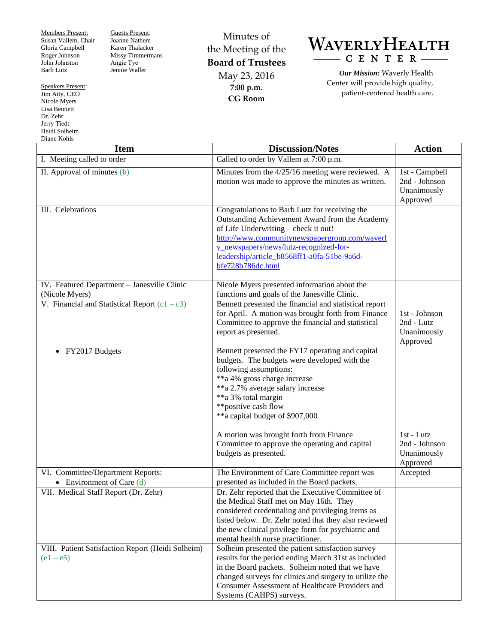Members Present: Susan Vallem, Chair Gloria Campbell Roger Johnson John Johnston Barb Lutz

Speakers Present: Jim Atty, CEO

Nicole Myers Lisa Bennett Dr. Zehr Jerry Tiedt Heidi Solheim Diane Kohls

Guests Present: Joanne Nathem Karen Thalacker Missy Timmermans Angie Tye Jennie Waller

Minutes of the Meeting of the **Board of Trustees** May 23, 2016 **7:00 p.m. CG Room**



*Our Mission:* Waverly Health Center will provide high quality, patient-centered health care.

| Diane Roms<br><b>Item</b>                                        | <b>Discussion/Notes</b>                                                                                                                                                                                                                                                                                 | <b>Action</b>                                              |
|------------------------------------------------------------------|---------------------------------------------------------------------------------------------------------------------------------------------------------------------------------------------------------------------------------------------------------------------------------------------------------|------------------------------------------------------------|
| I. Meeting called to order                                       | Called to order by Vallem at 7:00 p.m.                                                                                                                                                                                                                                                                  |                                                            |
| II. Approval of minutes (b)                                      | Minutes from the 4/25/16 meeting were reviewed. A<br>motion was made to approve the minutes as written.                                                                                                                                                                                                 | 1st - Campbell<br>2nd - Johnson<br>Unanimously<br>Approved |
| III. Celebrations                                                | Congratulations to Barb Lutz for receiving the<br>Outstanding Achievement Award from the Academy<br>of Life Underwriting - check it out!<br>http://www.communitynewspapergroup.com/waverl<br>y newspapers/news/lutz-recognized-for-<br>leadership/article_b8568ff1-a0fa-51be-9a6d-<br>bfe728b786dc.html |                                                            |
| IV. Featured Department - Janesville Clinic<br>(Nicole Myers)    | Nicole Myers presented information about the<br>functions and goals of the Janesville Clinic.                                                                                                                                                                                                           |                                                            |
| V. Financial and Statistical Report $(c1 - c3)$                  | Bennett presented the financial and statistical report<br>for April. A motion was brought forth from Finance<br>Committee to approve the financial and statistical<br>report as presented.                                                                                                              | 1st - Johnson<br>2nd - Lutz<br>Unanimously<br>Approved     |
| FY2017 Budgets                                                   | Bennett presented the FY17 operating and capital<br>budgets. The budgets were developed with the<br>following assumptions:<br>**a 4% gross charge increase<br>**a 2.7% average salary increase<br>**a 3% total margin<br>**positive cash flow<br>**a capital budget of \$907,000                        |                                                            |
|                                                                  | A motion was brought forth from Finance<br>Committee to approve the operating and capital<br>budgets as presented.                                                                                                                                                                                      | 1st - Lutz<br>2nd - Johnson<br>Unanimously<br>Approved     |
| VI. Committee/Department Reports:<br>• Environment of Care $(d)$ | The Environment of Care Committee report was<br>presented as included in the Board packets.                                                                                                                                                                                                             | Accepted                                                   |
| VII. Medical Staff Report (Dr. Zehr)                             | Dr. Zehr reported that the Executive Committee of<br>the Medical Staff met on May 16th. They<br>considered credentialing and privileging items as<br>listed below. Dr. Zehr noted that they also reviewed<br>the new clinical privilege form for psychiatric and<br>mental health nurse practitioner.   |                                                            |
| VIII. Patient Satisfaction Report (Heidi Solheim)<br>$(e1 - e5)$ | Solheim presented the patient satisfaction survey<br>results for the period ending March 31st as included<br>in the Board packets. Solheim noted that we have<br>changed surveys for clinics and surgery to utilize the<br>Consumer Assessment of Healthcare Providers and<br>Systems (CAHPS) surveys.  |                                                            |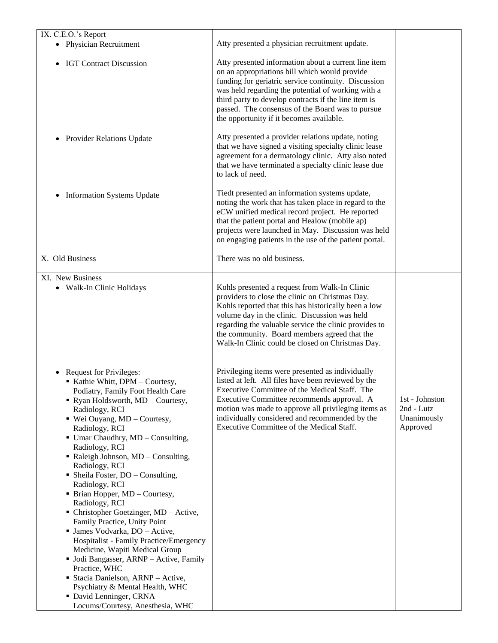| IX. C.E.O.'s Report                                                                                                                                                                                                                                                                                                                                                                                                                                                                                                                                                                                                                                                                                                                                                                                                             |                                                                                                                                                                                                                                                                                                                                                                             |                                                         |
|---------------------------------------------------------------------------------------------------------------------------------------------------------------------------------------------------------------------------------------------------------------------------------------------------------------------------------------------------------------------------------------------------------------------------------------------------------------------------------------------------------------------------------------------------------------------------------------------------------------------------------------------------------------------------------------------------------------------------------------------------------------------------------------------------------------------------------|-----------------------------------------------------------------------------------------------------------------------------------------------------------------------------------------------------------------------------------------------------------------------------------------------------------------------------------------------------------------------------|---------------------------------------------------------|
| • Physician Recruitment                                                                                                                                                                                                                                                                                                                                                                                                                                                                                                                                                                                                                                                                                                                                                                                                         | Atty presented a physician recruitment update.                                                                                                                                                                                                                                                                                                                              |                                                         |
| <b>IGT Contract Discussion</b>                                                                                                                                                                                                                                                                                                                                                                                                                                                                                                                                                                                                                                                                                                                                                                                                  | Atty presented information about a current line item<br>on an appropriations bill which would provide<br>funding for geriatric service continuity. Discussion<br>was held regarding the potential of working with a<br>third party to develop contracts if the line item is<br>passed. The consensus of the Board was to pursue<br>the opportunity if it becomes available. |                                                         |
| <b>Provider Relations Update</b><br>$\bullet$                                                                                                                                                                                                                                                                                                                                                                                                                                                                                                                                                                                                                                                                                                                                                                                   | Atty presented a provider relations update, noting<br>that we have signed a visiting specialty clinic lease<br>agreement for a dermatology clinic. Atty also noted<br>that we have terminated a specialty clinic lease due<br>to lack of need.                                                                                                                              |                                                         |
| <b>Information Systems Update</b><br>$\bullet$                                                                                                                                                                                                                                                                                                                                                                                                                                                                                                                                                                                                                                                                                                                                                                                  | Tiedt presented an information systems update,<br>noting the work that has taken place in regard to the<br>eCW unified medical record project. He reported<br>that the patient portal and Healow (mobile ap)<br>projects were launched in May. Discussion was held<br>on engaging patients in the use of the patient portal.                                                |                                                         |
| X. Old Business                                                                                                                                                                                                                                                                                                                                                                                                                                                                                                                                                                                                                                                                                                                                                                                                                 | There was no old business.                                                                                                                                                                                                                                                                                                                                                  |                                                         |
| XI. New Business<br>• Walk-In Clinic Holidays                                                                                                                                                                                                                                                                                                                                                                                                                                                                                                                                                                                                                                                                                                                                                                                   | Kohls presented a request from Walk-In Clinic<br>providers to close the clinic on Christmas Day.<br>Kohls reported that this has historically been a low<br>volume day in the clinic. Discussion was held<br>regarding the valuable service the clinic provides to<br>the community. Board members agreed that the<br>Walk-In Clinic could be closed on Christmas Day.      |                                                         |
| Request for Privileges:<br>Kathie Whitt, DPM - Courtesy,<br>Podiatry. Family Foot Health Care<br>• Ryan Holdsworth, MD - Courtesy,<br>Radiology, RCI<br>■ Wei Ouyang, MD - Courtesy,<br>Radiology, RCI<br>• Umar Chaudhry, MD - Consulting,<br>Radiology, RCI<br>Raleigh Johnson, MD - Consulting,<br>Radiology, RCI<br>• Sheila Foster, $DO - Consulting$ ,<br>Radiology, RCI<br>• Brian Hopper, MD - Courtesy,<br>Radiology, RCI<br>• Christopher Goetzinger, MD - Active,<br>Family Practice, Unity Point<br>· James Vodvarka, DO - Active,<br>Hospitalist - Family Practice/Emergency<br>Medicine, Wapiti Medical Group<br>• Jodi Bangasser, ARNP - Active, Family<br>Practice, WHC<br>Stacia Danielson, ARNP - Active,<br>Psychiatry & Mental Health, WHC<br>• David Lenninger, CRNA -<br>Locums/Courtesy, Anesthesia, WHC | Privileging items were presented as individually<br>listed at left. All files have been reviewed by the<br>Executive Committee of the Medical Staff. The<br>Executive Committee recommends approval. A<br>motion was made to approve all privileging items as<br>individually considered and recommended by the<br>Executive Committee of the Medical Staff.                | 1st - Johnston<br>2nd - Lutz<br>Unanimously<br>Approved |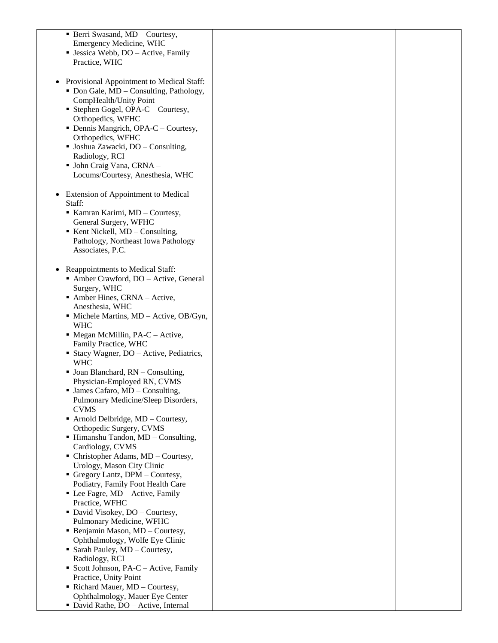| • Berri Swasand, MD - Courtesy,                      |  |
|------------------------------------------------------|--|
| Emergency Medicine, WHC                              |  |
| • Jessica Webb, DO – Active, Family                  |  |
| Practice, WHC                                        |  |
|                                                      |  |
|                                                      |  |
| Provisional Appointment to Medical Staff:            |  |
| • Don Gale, MD - Consulting, Pathology,              |  |
| CompHealth/Unity Point                               |  |
| • Stephen Gogel, OPA-C – Courtesy,                   |  |
|                                                      |  |
| Orthopedics, WFHC                                    |  |
| • Dennis Mangrich, OPA-C – Courtesy,                 |  |
| Orthopedics, WFHC                                    |  |
| • Joshua Zawacki, DO – Consulting,                   |  |
| Radiology, RCI                                       |  |
| • John Craig Vana, CRNA -                            |  |
|                                                      |  |
| Locums/Courtesy, Anesthesia, WHC                     |  |
|                                                      |  |
| Extension of Appointment to Medical<br>٠             |  |
| Staff:                                               |  |
| Kamran Karimi, MD - Courtesy,                        |  |
|                                                      |  |
| General Surgery, WFHC                                |  |
| $\blacksquare$ Kent Nickell, MD – Consulting,        |  |
| Pathology, Northeast Iowa Pathology                  |  |
| Associates, P.C.                                     |  |
|                                                      |  |
| Reappointments to Medical Staff:                     |  |
|                                                      |  |
| Amber Crawford, DO - Active, General                 |  |
| Surgery, WHC                                         |  |
| Amber Hines, CRNA - Active,                          |  |
| Anesthesia, WHC                                      |  |
| $\blacksquare$ Michele Martins, MD – Active, OB/Gyn, |  |
| <b>WHC</b>                                           |  |
| • Megan McMillin, PA-C – Active,                     |  |
|                                                      |  |
| Family Practice, WHC                                 |  |
| • Stacy Wagner, DO – Active, Pediatrics,             |  |
| <b>WHC</b>                                           |  |
| • Joan Blanchard, RN - Consulting,                   |  |
| Physician-Employed RN, CVMS                          |  |
| $\blacksquare$ James Cafaro, MD – Consulting,        |  |
| Pulmonary Medicine/Sleep Disorders,                  |  |
|                                                      |  |
| <b>CVMS</b>                                          |  |
| • Arnold Delbridge, MD – Courtesy,                   |  |
| Orthopedic Surgery, CVMS                             |  |
| • Himanshu Tandon, MD - Consulting,                  |  |
| Cardiology, CVMS                                     |  |
| • Christopher Adams, MD - Courtesy,                  |  |
| Urology, Mason City Clinic                           |  |
|                                                      |  |
| Gregory Lantz, DPM - Courtesy,                       |  |
| Podiatry, Family Foot Health Care                    |  |
| • Lee Fagre, MD – Active, Family                     |  |
| Practice, WFHC                                       |  |
| • David Visokey, DO - Courtesy,                      |  |
| Pulmonary Medicine, WFHC                             |  |
| • Benjamin Mason, MD - Courtesy,                     |  |
|                                                      |  |
| Ophthalmology, Wolfe Eye Clinic                      |  |
| • Sarah Pauley, MD - Courtesy,                       |  |
| Radiology, RCI                                       |  |
| Scott Johnson, PA-C - Active, Family                 |  |
| Practice, Unity Point                                |  |
| Richard Mauer, MD - Courtesy,                        |  |
| Ophthalmology, Mauer Eye Center                      |  |
|                                                      |  |
| • David Rathe, DO - Active, Internal                 |  |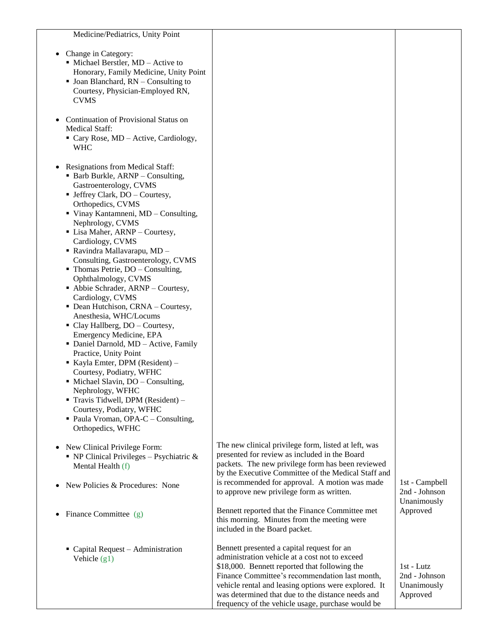| Medicine/Pediatrics, Unity Point                         |                                                      |                |
|----------------------------------------------------------|------------------------------------------------------|----------------|
|                                                          |                                                      |                |
| Change in Category:                                      |                                                      |                |
| • Michael Berstler, MD - Active to                       |                                                      |                |
| Honorary, Family Medicine, Unity Point                   |                                                      |                |
| $\blacksquare$ Joan Blanchard, RN – Consulting to        |                                                      |                |
| Courtesy, Physician-Employed RN,                         |                                                      |                |
| <b>CVMS</b>                                              |                                                      |                |
|                                                          |                                                      |                |
| Continuation of Provisional Status on                    |                                                      |                |
| <b>Medical Staff:</b>                                    |                                                      |                |
| Cary Rose, MD - Active, Cardiology,                      |                                                      |                |
| <b>WHC</b>                                               |                                                      |                |
|                                                          |                                                      |                |
| Resignations from Medical Staff:                         |                                                      |                |
| • Barb Burkle, ARNP – Consulting,                        |                                                      |                |
| Gastroenterology, CVMS                                   |                                                      |                |
| • Jeffrey Clark, DO - Courtesy,                          |                                                      |                |
| Orthopedics, CVMS                                        |                                                      |                |
| ■ Vinay Kantamneni, MD – Consulting,                     |                                                      |                |
| Nephrology, CVMS                                         |                                                      |                |
| • Lisa Maher, ARNP – Courtesy,                           |                                                      |                |
| Cardiology, CVMS                                         |                                                      |                |
| - Ravindra Mallavarapu, MD -                             |                                                      |                |
| Consulting, Gastroenterology, CVMS                       |                                                      |                |
| • Thomas Petrie, DO – Consulting,<br>Ophthalmology, CVMS |                                                      |                |
| • Abbie Schrader, ARNP - Courtesy,                       |                                                      |                |
| Cardiology, CVMS                                         |                                                      |                |
| • Dean Hutchison, CRNA - Courtesy,                       |                                                      |                |
| Anesthesia, WHC/Locums                                   |                                                      |                |
| • Clay Hallberg, DO - Courtesy,                          |                                                      |                |
| Emergency Medicine, EPA                                  |                                                      |                |
| • Daniel Darnold, MD - Active, Family                    |                                                      |                |
| Practice, Unity Point                                    |                                                      |                |
| Kayla Emter, DPM (Resident) -                            |                                                      |                |
| Courtesy, Podiatry, WFHC                                 |                                                      |                |
| • Michael Slavin, DO – Consulting,                       |                                                      |                |
| Nephrology, WFHC                                         |                                                      |                |
| Travis Tidwell, DPM (Resident) -                         |                                                      |                |
| Courtesy, Podiatry, WFHC                                 |                                                      |                |
| • Paula Vroman, OPA-C – Consulting,                      |                                                      |                |
| Orthopedics, WFHC                                        |                                                      |                |
|                                                          | The new clinical privilege form, listed at left, was |                |
| New Clinical Privilege Form:                             | presented for review as included in the Board        |                |
| • NP Clinical Privileges - Psychiatric $&$               | packets. The new privilege form has been reviewed    |                |
| Mental Health (f)                                        | by the Executive Committee of the Medical Staff and  |                |
| New Policies & Procedures: None                          | is recommended for approval. A motion was made       | 1st - Campbell |
|                                                          | to approve new privilege form as written.            | 2nd - Johnson  |
|                                                          |                                                      | Unanimously    |
| Finance Committee (g)                                    | Bennett reported that the Finance Committee met      | Approved       |
|                                                          | this morning. Minutes from the meeting were          |                |
|                                                          | included in the Board packet.                        |                |
|                                                          |                                                      |                |
| Capital Request – Administration                         | Bennett presented a capital request for an           |                |
| Vehicle $(g1)$                                           | administration vehicle at a cost not to exceed       |                |
|                                                          | \$18,000. Bennett reported that following the        | 1st - Lutz     |
|                                                          | Finance Committee's recommendation last month,       | 2nd - Johnson  |
|                                                          | vehicle rental and leasing options were explored. It | Unanimously    |
|                                                          | was determined that due to the distance needs and    | Approved       |
|                                                          | frequency of the vehicle usage, purchase would be    |                |